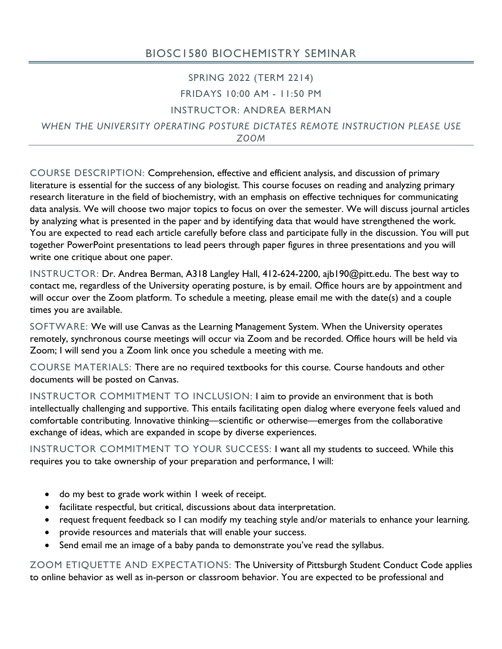## BIOSC1580 BIOCHEMISTRY SEMINAR

### SPRING 2022 (TERM 2214) FRIDAYS 10:00 AM - 11:50 PM

#### INSTRUCTOR: ANDREA BERMAN

*WHEN THE UNIVERSITY OPERATING POSTURE DICTATES REMOTE INSTRUCTION PLEASE USE ZOOM*

COURSE DESCRIPTION: Comprehension, effective and efficient analysis, and discussion of primary literature is essential for the success of any biologist. This course focuses on reading and analyzing primary research literature in the field of biochemistry, with an emphasis on effective techniques for communicating data analysis. We will choose two major topics to focus on over the semester. We will discuss journal articles by analyzing what is presented in the paper and by identifying data that would have strengthened the work. You are expected to read each article carefully before class and participate fully in the discussion. You will put together PowerPoint presentations to lead peers through paper figures in three presentations and you will write one critique about one paper.

INSTRUCTOR: Dr. Andrea Berman, A318 Langley Hall, 412-624-2200, ajb190@pitt.edu. The best way to contact me, regardless of the University operating posture, is by email. Office hours are by appointment and will occur over the Zoom platform. To schedule a meeting, please email me with the date(s) and a couple times you are available.

SOFTWARE: We will use Canvas as the Learning Management System. When the University operates remotely, synchronous course meetings will occur via Zoom and be recorded. Office hours will be held via Zoom; I will send you a Zoom link once you schedule a meeting with me.

COURSE MATERIALS: There are no required textbooks for this course. Course handouts and other documents will be posted on Canvas.

INSTRUCTOR COMMITMENT TO INCLUSION: I aim to provide an environment that is both intellectually challenging and supportive. This entails facilitating open dialog where everyone feels valued and comfortable contributing. Innovative thinking—scientific or otherwise—emerges from the collaborative exchange of ideas, which are expanded in scope by diverse experiences.

INSTRUCTOR COMMITMENT TO YOUR SUCCESS: I want all my students to succeed. While this requires you to take ownership of your preparation and performance, I will:

- do my best to grade work within 1 week of receipt.
- facilitate respectful, but critical, discussions about data interpretation.
- request frequent feedback so I can modify my teaching style and/or materials to enhance your learning.
- provide resources and materials that will enable your success.
- Send email me an image of a baby panda to demonstrate you've read the syllabus.

ZOOM ETIQUETTE AND EXPECTATIONS: The University of Pittsburgh Student Conduct Code applies to online behavior as well as in-person or classroom behavior. You are expected to be professional and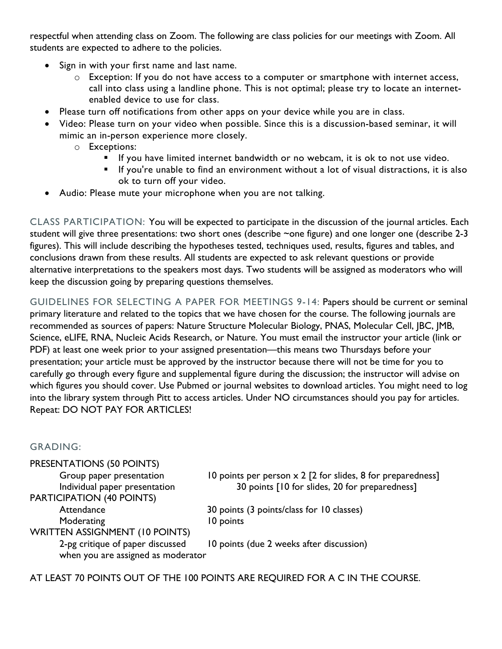respectful when attending class on Zoom. The following are class policies for our meetings with Zoom. All students are expected to adhere to the policies.

- Sign in with your first name and last name.
	- o Exception: If you do not have access to a computer or smartphone with internet access, call into class using a landline phone. This is not optimal; please try to locate an internetenabled device to use for class.
- Please turn off notifications from other apps on your device while you are in class.
- Video: Please turn on your video when possible. Since this is a discussion-based seminar, it will mimic an in-person experience more closely.
	- o Exceptions:
		- If you have limited internet bandwidth or no webcam, it is ok to not use video.
		- § If you're unable to find an environment without a lot of visual distractions, it is also ok to turn off your video.
- Audio: Please mute your microphone when you are not talking.

CLASS PARTICIPATION: You will be expected to participate in the discussion of the journal articles. Each student will give three presentations: two short ones (describe ~one figure) and one longer one (describe 2-3 figures). This will include describing the hypotheses tested, techniques used, results, figures and tables, and conclusions drawn from these results. All students are expected to ask relevant questions or provide alternative interpretations to the speakers most days. Two students will be assigned as moderators who will keep the discussion going by preparing questions themselves.

GUIDELINES FOR SELECTING A PAPER FOR MEETINGS 9-14: Papers should be current or seminal primary literature and related to the topics that we have chosen for the course. The following journals are recommended as sources of papers: Nature Structure Molecular Biology, PNAS, Molecular Cell, JBC, JMB, Science, eLIFE, RNA, Nucleic Acids Research, or Nature. You must email the instructor your article (link or PDF) at least one week prior to your assigned presentation—this means two Thursdays before your presentation; your article must be approved by the instructor because there will not be time for you to carefully go through every figure and supplemental figure during the discussion; the instructor will advise on which figures you should cover. Use Pubmed or journal websites to download articles. You might need to log into the library system through Pitt to access articles. Under NO circumstances should you pay for articles. Repeat: DO NOT PAY FOR ARTICLES!

#### GRADING:

| PRESENTATIONS (50 POINTS)                                              |                                                                    |
|------------------------------------------------------------------------|--------------------------------------------------------------------|
| Group paper presentation                                               | 10 points per person $\times$ 2 [2 for slides, 8 for preparedness] |
| Individual paper presentation                                          | 30 points [10 for slides, 20 for preparedness]                     |
| <b>PARTICIPATION (40 POINTS)</b>                                       |                                                                    |
| Attendance                                                             | 30 points (3 points/class for 10 classes)                          |
| Moderating                                                             | 10 points                                                          |
| <b>WRITTEN ASSIGNMENT (10 POINTS)</b>                                  |                                                                    |
| 2-pg critique of paper discussed<br>when you are assigned as moderator | 10 points (due 2 weeks after discussion)                           |

AT LEAST 70 POINTS OUT OF THE 100 POINTS ARE REQUIRED FOR A C IN THE COURSE.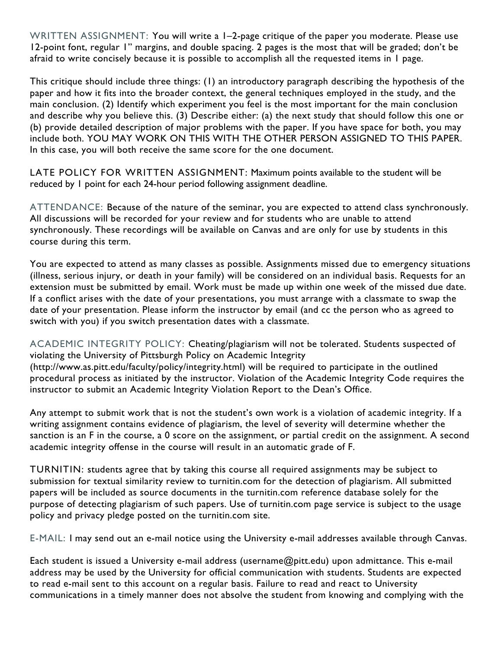WRITTEN ASSIGNMENT: You will write a 1–2-page critique of the paper you moderate. Please use 12-point font, regular 1" margins, and double spacing. 2 pages is the most that will be graded; don't be afraid to write concisely because it is possible to accomplish all the requested items in 1 page.

This critique should include three things: (1) an introductory paragraph describing the hypothesis of the paper and how it fits into the broader context, the general techniques employed in the study, and the main conclusion. (2) Identify which experiment you feel is the most important for the main conclusion and describe why you believe this. (3) Describe either: (a) the next study that should follow this one or (b) provide detailed description of major problems with the paper. If you have space for both, you may include both. YOU MAY WORK ON THIS WITH THE OTHER PERSON ASSIGNED TO THIS PAPER. In this case, you will both receive the same score for the one document.

LATE POLICY FOR WRITTEN ASSIGNMENT: Maximum points available to the student will be reduced by 1 point for each 24-hour period following assignment deadline.

ATTENDANCE: Because of the nature of the seminar, you are expected to attend class synchronously. All discussions will be recorded for your review and for students who are unable to attend synchronously. These recordings will be available on Canvas and are only for use by students in this course during this term.

You are expected to attend as many classes as possible. Assignments missed due to emergency situations (illness, serious injury, or death in your family) will be considered on an individual basis. Requests for an extension must be submitted by email. Work must be made up within one week of the missed due date. If a conflict arises with the date of your presentations, you must arrange with a classmate to swap the date of your presentation. Please inform the instructor by email (and cc the person who as agreed to switch with you) if you switch presentation dates with a classmate.

ACADEMIC INTEGRITY POLICY: Cheating/plagiarism will not be tolerated. Students suspected of violating the University of Pittsburgh Policy on Academic Integrity (http://www.as.pitt.edu/faculty/policy/integrity.html) will be required to participate in the outlined procedural process as initiated by the instructor. Violation of the Academic Integrity Code requires the instructor to submit an Academic Integrity Violation Report to the Dean's Office.

Any attempt to submit work that is not the student's own work is a violation of academic integrity. If a writing assignment contains evidence of plagiarism, the level of severity will determine whether the sanction is an F in the course, a 0 score on the assignment, or partial credit on the assignment. A second academic integrity offense in the course will result in an automatic grade of F.

TURNITIN: students agree that by taking this course all required assignments may be subject to submission for textual similarity review to turnitin.com for the detection of plagiarism. All submitted papers will be included as source documents in the turnitin.com reference database solely for the purpose of detecting plagiarism of such papers. Use of turnitin.com page service is subject to the usage policy and privacy pledge posted on the turnitin.com site.

E-MAIL: I may send out an e-mail notice using the University e-mail addresses available through Canvas.

Each student is issued a University e-mail address (username@pitt.edu) upon admittance. This e-mail address may be used by the University for official communication with students. Students are expected to read e-mail sent to this account on a regular basis. Failure to read and react to University communications in a timely manner does not absolve the student from knowing and complying with the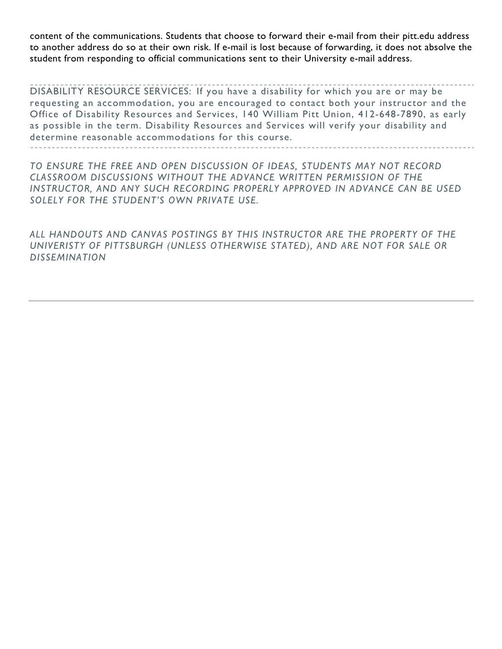content of the communications. Students that choose to forward their e-mail from their pitt.edu address to another address do so at their own risk. If e-mail is lost because of forwarding, it does not absolve the student from responding to official communications sent to their University e-mail address.

DISABILITY RESOURCE SERVICES: If you have a disability for which you are or may be requesting an accommodation, you are encouraged to contact both your instructor and the Office of Disability Resources and Services, 140 William Pitt Union, 412-648-7890, as early as possible in the term. Disability Resources and Services will verify your disability and determine reasonable accommodations for this course.

*TO ENSURE THE FREE AND OPEN DISCUSSION OF IDEAS, STUDENTS MAY NOT RECORD CLASSROOM DISCUSSIONS WITHOUT THE ADVANCE WRITTEN PERMISSION OF THE*  INSTRUCTOR, AND ANY SUCH RECORDING PROPERLY APPROVED IN ADVANCE CAN BE USED *SOLELY FOR THE STUDENT'S OWN PRIVATE USE.*

*ALL HANDOUTS AND CANVAS POSTINGS BY THIS INSTRUCTOR ARE THE PROPERTY OF THE UNIVERISTY OF PITTSBURGH (UNLESS OTHERWISE STATED), AND ARE NOT FOR SALE OR DISSEMINATION*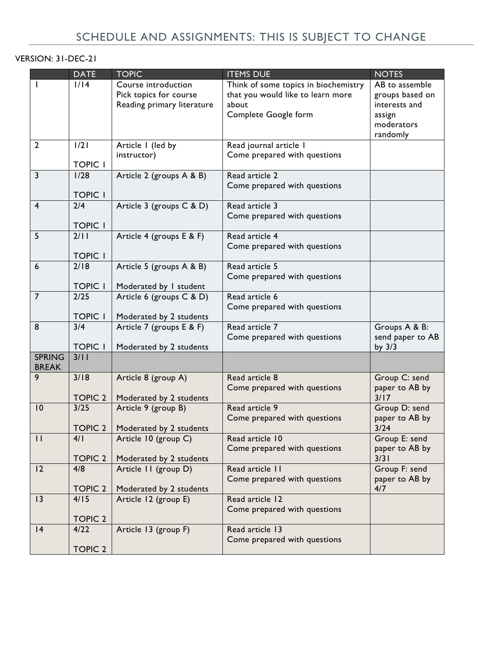## VERSION: 31-DEC-21

|                               | <b>DATE</b>                         | <b>TOPIC</b>                                                                | <b>ITEMS DUE</b>                                                                                           | <b>NOTES</b>                                                                           |
|-------------------------------|-------------------------------------|-----------------------------------------------------------------------------|------------------------------------------------------------------------------------------------------------|----------------------------------------------------------------------------------------|
|                               | 1/14                                | Course introduction<br>Pick topics for course<br>Reading primary literature | Think of some topics in biochemistry<br>that you would like to learn more<br>about<br>Complete Google form | AB to assemble<br>groups based on<br>interests and<br>assign<br>moderators<br>randomly |
| $\overline{2}$                | 1/21<br><b>TOPIC I</b>              | Article I (led by<br>instructor)                                            | Read journal article I<br>Come prepared with questions                                                     |                                                                                        |
| 3                             | 1/28<br><b>TOPIC I</b>              | Article 2 (groups A & B)                                                    | Read article 2<br>Come prepared with questions                                                             |                                                                                        |
| $\overline{4}$                | 2/4<br><b>TOPIC I</b>               | Article 3 (groups C & D)                                                    | Read article 3<br>Come prepared with questions                                                             |                                                                                        |
| 5                             | 2/11<br><b>TOPIC I</b>              | Article 4 (groups E & F)                                                    | Read article 4<br>Come prepared with questions                                                             |                                                                                        |
| 6                             | $\overline{2/18}$<br><b>TOPIC I</b> | Article 5 (groups A & B)<br>Moderated by I student                          | Read article 5<br>Come prepared with questions                                                             |                                                                                        |
| $\overline{7}$                | 2/25<br><b>TOPIC I</b>              | Article 6 (groups C & D)<br>Moderated by 2 students                         | Read article 6<br>Come prepared with questions                                                             |                                                                                        |
| 8                             | 3/4<br><b>TOPIC I</b>               | Article 7 (groups E & F)<br>Moderated by 2 students                         | Read article 7<br>Come prepared with questions                                                             | Groups A & B:<br>send paper to AB<br>by $3/3$                                          |
| <b>SPRING</b><br><b>BREAK</b> | 3/11                                |                                                                             |                                                                                                            |                                                                                        |
| 9                             | 3/18<br><b>TOPIC 2</b>              | Article 8 (group A)<br>Moderated by 2 students                              | Read article 8<br>Come prepared with questions                                                             | Group C: send<br>paper to AB by<br>3/17                                                |
| 10                            | $3/25$<br><b>TOPIC 2</b>            | Article 9 (group B)<br>Moderated by 2 students                              | Read article 9<br>Come prepared with questions                                                             | Group D: send<br>paper to AB by<br>$3/24$                                              |
| $\mathsf{I}$                  | 4/1<br><b>TOPIC 2</b>               | Article 10 (group C)<br>Moderated by 2 students                             | Read article 10<br>Come prepared with questions                                                            | Group E: send<br>paper to AB by<br>3/31                                                |
| 12                            | 4/8<br><b>TOPIC 2</b>               | Article II (group D)<br>Moderated by 2 students                             | Read article 11<br>Come prepared with questions                                                            | Group F: send<br>paper to AB by<br>4/7                                                 |
| 13                            | 4/15<br><b>TOPIC 2</b>              | Article 12 (group E)                                                        | Read article 12<br>Come prepared with questions                                                            |                                                                                        |
| 4                             | 4/22<br><b>TOPIC 2</b>              | Article 13 (group F)                                                        | Read article 13<br>Come prepared with questions                                                            |                                                                                        |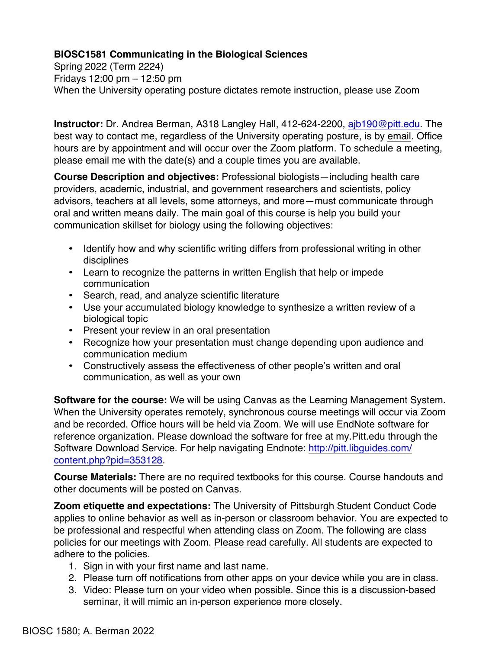### **BIOSC1581 Communicating in the Biological Sciences**

Spring 2022 (Term 2224) Fridays 12:00 pm – 12:50 pm When the University operating posture dictates remote instruction, please use Zoom

**Instructor:** Dr. Andrea Berman, A318 Langley Hall, 412-624-2200, ajb190@pitt.edu. The best way to contact me, regardless of the University operating posture, is by email. Office hours are by appointment and will occur over the Zoom platform. To schedule a meeting, please email me with the date(s) and a couple times you are available.

**Course Description and objectives:** Professional biologists—including health care providers, academic, industrial, and government researchers and scientists, policy advisors, teachers at all levels, some attorneys, and more—must communicate through oral and written means daily. The main goal of this course is help you build your communication skillset for biology using the following objectives:

- Identify how and why scientific writing differs from professional writing in other disciplines
- Learn to recognize the patterns in written English that help or impede communication
- Search, read, and analyze scientific literature
- Use your accumulated biology knowledge to synthesize a written review of a biological topic
- Present your review in an oral presentation
- Recognize how your presentation must change depending upon audience and communication medium
- Constructively assess the effectiveness of other people's written and oral communication, as well as your own

**Software for the course:** We will be using Canvas as the Learning Management System. When the University operates remotely, synchronous course meetings will occur via Zoom and be recorded. Office hours will be held via Zoom. We will use EndNote software for reference organization. Please download the software for free at my.Pitt.edu through the Software Download Service. For help navigating Endnote: http://pitt.libguides.com/ content.php?pid=353128.

**Course Materials:** There are no required textbooks for this course. Course handouts and other documents will be posted on Canvas.

**Zoom etiquette and expectations:** The University of Pittsburgh Student Conduct Code applies to online behavior as well as in-person or classroom behavior. You are expected to be professional and respectful when attending class on Zoom. The following are class policies for our meetings with Zoom. Please read carefully. All students are expected to adhere to the policies.

- 1. Sign in with your first name and last name.
- 2. Please turn off notifications from other apps on your device while you are in class.
- 3. Video: Please turn on your video when possible. Since this is a discussion-based seminar, it will mimic an in-person experience more closely.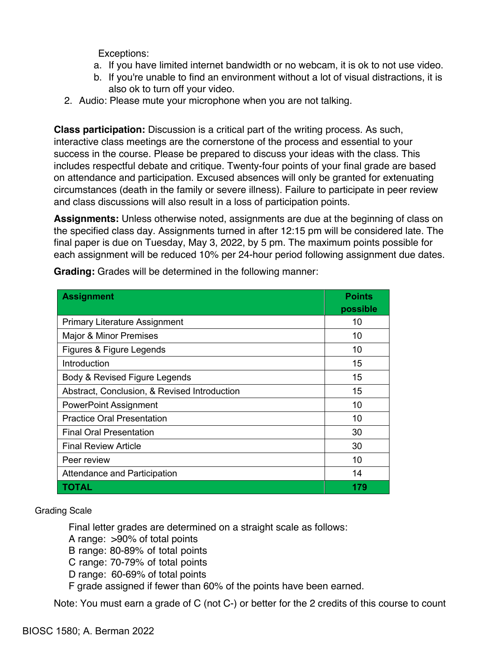Exceptions:

- a. If you have limited internet bandwidth or no webcam, it is ok to not use video.
- b. If you're unable to find an environment without a lot of visual distractions, it is also ok to turn off your video.
- 2. Audio: Please mute your microphone when you are not talking.

**Class participation:** Discussion is a critical part of the writing process. As such, interactive class meetings are the cornerstone of the process and essential to your success in the course. Please be prepared to discuss your ideas with the class. This includes respectful debate and critique. Twenty-four points of your final grade are based on attendance and participation. Excused absences will only be granted for extenuating circumstances (death in the family or severe illness). Failure to participate in peer review and class discussions will also result in a loss of participation points.

**Assignments:** Unless otherwise noted, assignments are due at the beginning of class on the specified class day. Assignments turned in after 12:15 pm will be considered late. The final paper is due on Tuesday, May 3, 2022, by 5 pm. The maximum points possible for each assignment will be reduced 10% per 24-hour period following assignment due dates.

| <b>Assignment</b>                            | <b>Points</b><br>possible |
|----------------------------------------------|---------------------------|
| <b>Primary Literature Assignment</b>         | 10                        |
| <b>Major &amp; Minor Premises</b>            | 10                        |
| Figures & Figure Legends                     | 10                        |
| Introduction                                 | 15                        |
| Body & Revised Figure Legends                | 15                        |
| Abstract, Conclusion, & Revised Introduction | 15                        |
| <b>PowerPoint Assignment</b>                 | 10                        |
| <b>Practice Oral Presentation</b>            | 10                        |
| <b>Final Oral Presentation</b>               | 30                        |
| <b>Final Review Article</b>                  | 30                        |
| Peer review                                  | 10                        |
| Attendance and Participation                 | 14                        |
| TOTAL                                        | 179                       |

**Grading:** Grades will be determined in the following manner:

Grading Scale

Final letter grades are determined on a straight scale as follows:

A range: >90% of total points

B range: 80-89% of total points

C range: 70-79% of total points

D range: 60-69% of total points

F grade assigned if fewer than 60% of the points have been earned.

Note: You must earn a grade of C (not C-) or better for the 2 credits of this course to count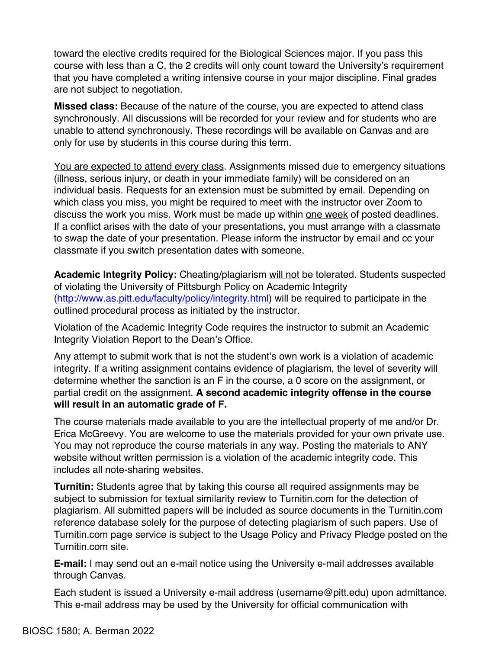toward the elective credits required for the Biological Sciences major. If you pass this course with less than a C, the 2 credits will only count toward the University's requirement that you have completed a writing intensive course in your major discipline. Final grades are not subject to negotiation.

**Missed class:** Because of the nature of the course, you are expected to attend class synchronously. All discussions will be recorded for your review and for students who are unable to attend synchronously. These recordings will be available on Canvas and are only for use by students in this course during this term.

You are expected to attend every class. Assignments missed due to emergency situations (illness, serious injury, or death in your immediate family) will be considered on an individual basis. Requests for an extension must be submitted by email. Depending on which class you miss, you might be required to meet with the instructor over Zoom to discuss the work you miss. Work must be made up within one week of posted deadlines. If a conflict arises with the date of your presentations, you must arrange with a classmate to swap the date of your presentation. Please inform the instructor by email and cc your classmate if you switch presentation dates with someone.

**Academic Integrity Policy:** Cheating/plagiarism will not be tolerated. Students suspected of violating the University of Pittsburgh Policy on Academic Integrity (http://www.as.pitt.edu/faculty/policy/integrity.html) will be required to participate in the outlined procedural process as initiated by the instructor.

Violation of the Academic Integrity Code requires the instructor to submit an Academic Integrity Violation Report to the Dean's Office.

Any attempt to submit work that is not the student's own work is a violation of academic integrity. If a writing assignment contains evidence of plagiarism, the level of severity will determine whether the sanction is an F in the course, a 0 score on the assignment, or partial credit on the assignment. **A second academic integrity offense in the course will result in an automatic grade of F.**

The course materials made available to you are the intellectual property of me and/or Dr. Erica McGreevy. You are welcome to use the materials provided for your own private use. You may not reproduce the course materials in any way. Posting the materials to ANY website without written permission is a violation of the academic integrity code. This includes all note-sharing websites.

**Turnitin:** Students agree that by taking this course all required assignments may be subject to submission for textual similarity review to Turnitin.com for the detection of plagiarism. All submitted papers will be included as source documents in the Turnitin.com reference database solely for the purpose of detecting plagiarism of such papers. Use of Turnitin.com page service is subject to the Usage Policy and Privacy Pledge posted on the Turnitin.com site.

**E-mail:** I may send out an e-mail notice using the University e-mail addresses available through Canvas.

Each student is issued a University e-mail address (username@pitt.edu) upon admittance. This e-mail address may be used by the University for official communication with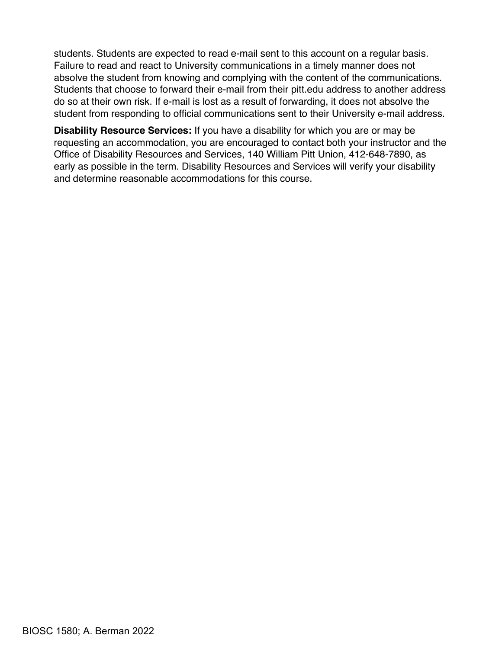students. Students are expected to read e-mail sent to this account on a regular basis. Failure to read and react to University communications in a timely manner does not absolve the student from knowing and complying with the content of the communications. Students that choose to forward their e-mail from their pitt.edu address to another address do so at their own risk. If e-mail is lost as a result of forwarding, it does not absolve the student from responding to official communications sent to their University e-mail address.

**Disability Resource Services:** If you have a disability for which you are or may be requesting an accommodation, you are encouraged to contact both your instructor and the Office of Disability Resources and Services, 140 William Pitt Union, 412-648-7890, as early as possible in the term. Disability Resources and Services will verify your disability and determine reasonable accommodations for this course.